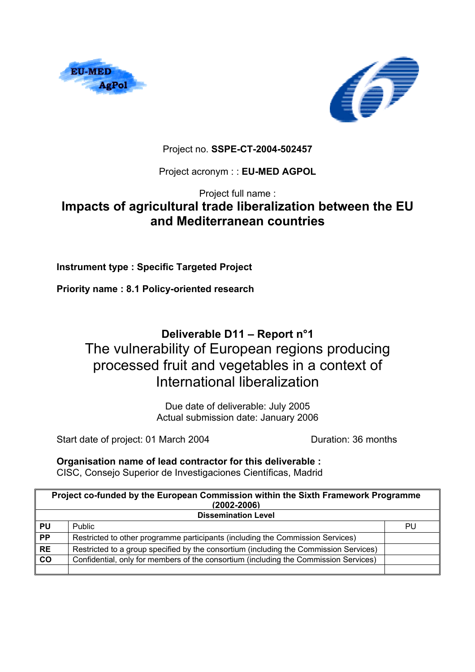



Project no. **SSPE-CT-2004-502457**

Project acronym : : **EU-MED AGPOL**

Project full name :

# **Impacts of agricultural trade liberalization between the EU and Mediterranean countries**

**Instrument type : Specific Targeted Project** 

**Priority name : 8.1 Policy-oriented research** 

## **Deliverable D11 – Report n°1**  The vulnerability of European regions producing processed fruit and vegetables in a context of International liberalization

Due date of deliverable: July 2005 Actual submission date: January 2006

Start date of project: 01 March 2004 Duration: 36 months

**Organisation name of lead contractor for this deliverable :**  CISC, Consejo Superior de Investigaciones Científicas, Madrid

| Project co-funded by the European Commission within the Sixth Framework Programme<br>$(2002 - 2006)$ |                                                                                       |    |  |  |  |
|------------------------------------------------------------------------------------------------------|---------------------------------------------------------------------------------------|----|--|--|--|
| <b>Dissemination Level</b>                                                                           |                                                                                       |    |  |  |  |
| <b>PU</b>                                                                                            | Public                                                                                | PU |  |  |  |
| <b>PP</b>                                                                                            | Restricted to other programme participants (including the Commission Services)        |    |  |  |  |
| <b>RE</b>                                                                                            | Restricted to a group specified by the consortium (including the Commission Services) |    |  |  |  |
| co                                                                                                   | Confidential, only for members of the consortium (including the Commission Services)  |    |  |  |  |
|                                                                                                      |                                                                                       |    |  |  |  |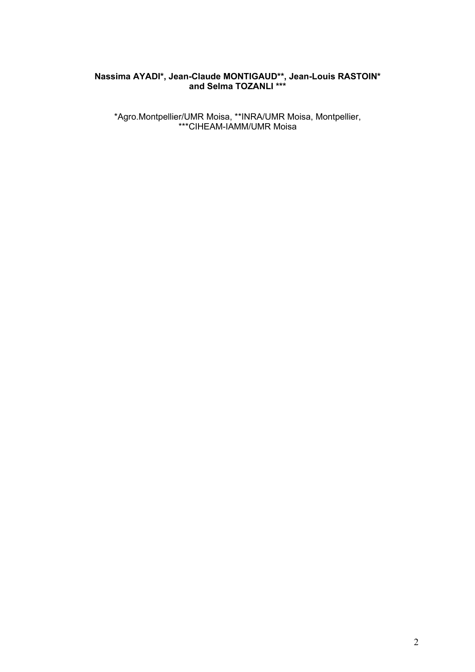### **Nassima AYADI\*, Jean-Claude MONTIGAUD\*\*, Jean-Louis RASTOIN\* and Selma TOZANLI \*\*\***

\*Agro.Montpellier/UMR Moisa, \*\*INRA/UMR Moisa, Montpellier, \*\*\*CIHEAM-IAMM/UMR Moisa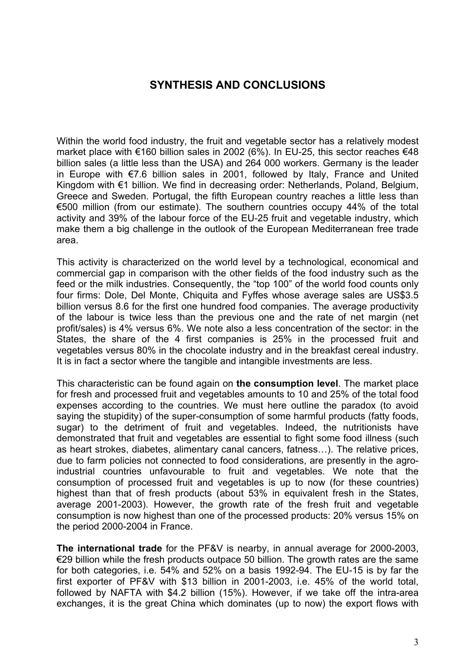## **SYNTHESIS AND CONCLUSIONS**

Within the world food industry, the fruit and vegetable sector has a relatively modest market place with €160 billion sales in 2002 (6%). In EU-25, this sector reaches €48 billion sales (a little less than the USA) and 264 000 workers. Germany is the leader in Europe with €7.6 billion sales in 2001, followed by Italy, France and United Kingdom with €1 billion. We find in decreasing order: Netherlands, Poland, Belgium, Greece and Sweden. Portugal, the fifth European country reaches a little less than €500 million (from our estimate). The southern countries occupy 44% of the total activity and 39% of the labour force of the EU-25 fruit and vegetable industry, which make them a big challenge in the outlook of the European Mediterranean free trade area.

This activity is characterized on the world level by a technological, economical and commercial gap in comparison with the other fields of the food industry such as the feed or the milk industries. Consequently, the "top 100" of the world food counts only four firms: Dole, Del Monte, Chiquita and Fyffes whose average sales are US\$3.5 billion versus 8.6 for the first one hundred food companies. The average productivity of the labour is twice less than the previous one and the rate of net margin (net profit/sales) is 4% versus 6%. We note also a less concentration of the sector: in the States, the share of the 4 first companies is 25% in the processed fruit and vegetables versus 80% in the chocolate industry and in the breakfast cereal industry. It is in fact a sector where the tangible and intangible investments are less.

This characteristic can be found again on **the consumption level**. The market place for fresh and processed fruit and vegetables amounts to 10 and 25% of the total food expenses according to the countries. We must here outline the paradox (to avoid saying the stupidity) of the super-consumption of some harmful products (fatty foods, sugar) to the detriment of fruit and vegetables. Indeed, the nutritionists have demonstrated that fruit and vegetables are essential to fight some food illness (such as heart strokes, diabetes, alimentary canal cancers, fatness…). The relative prices, due to farm policies not connected to food considerations, are presently in the agroindustrial countries unfavourable to fruit and vegetables. We note that the consumption of processed fruit and vegetables is up to now (for these countries) highest than that of fresh products (about 53% in equivalent fresh in the States, average 2001-2003). However, the growth rate of the fresh fruit and vegetable consumption is now highest than one of the processed products: 20% versus 15% on the period 2000-2004 in France.

**The international trade** for the PF&V is nearby, in annual average for 2000-2003,  $\epsilon$ 29 billion while the fresh products outpace 50 billion. The growth rates are the same for both categories, i.e. 54% and 52% on a basis 1992-94. The EU-15 is by far the first exporter of PF&V with \$13 billion in 2001-2003, i.e. 45% of the world total, followed by NAFTA with \$4.2 billion (15%). However, if we take off the intra-area exchanges, it is the great China which dominates (up to now) the export flows with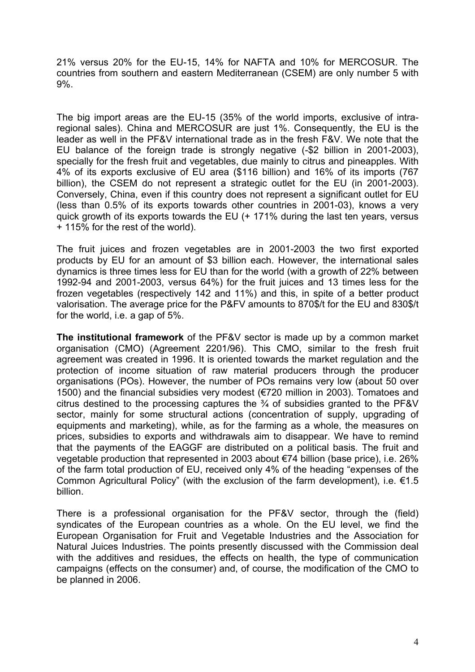21% versus 20% for the EU-15, 14% for NAFTA and 10% for MERCOSUR. The countries from southern and eastern Mediterranean (CSEM) are only number 5 with 9%.

The big import areas are the EU-15 (35% of the world imports, exclusive of intraregional sales). China and MERCOSUR are just 1%. Consequently, the EU is the leader as well in the PF&V international trade as in the fresh F&V. We note that the EU balance of the foreign trade is strongly negative (-\$2 billion in 2001-2003), specially for the fresh fruit and vegetables, due mainly to citrus and pineapples. With 4% of its exports exclusive of EU area (\$116 billion) and 16% of its imports (767 billion), the CSEM do not represent a strategic outlet for the EU (in 2001-2003). Conversely, China, even if this country does not represent a significant outlet for EU (less than 0.5% of its exports towards other countries in 2001-03), knows a very quick growth of its exports towards the EU (+ 171% during the last ten years, versus + 115% for the rest of the world).

The fruit juices and frozen vegetables are in 2001-2003 the two first exported products by EU for an amount of \$3 billion each. However, the international sales dynamics is three times less for EU than for the world (with a growth of 22% between 1992-94 and 2001-2003, versus 64%) for the fruit juices and 13 times less for the frozen vegetables (respectively 142 and 11%) and this, in spite of a better product valorisation. The average price for the P&FV amounts to 870\$/t for the EU and 830\$/t for the world, i.e. a gap of 5%.

**The institutional framework** of the PF&V sector is made up by a common market organisation (CMO) (Agreement 2201/96). This CMO, similar to the fresh fruit agreement was created in 1996. It is oriented towards the market regulation and the protection of income situation of raw material producers through the producer organisations (POs). However, the number of POs remains very low (about 50 over 1500) and the financial subsidies very modest (€720 million in 2003). Tomatoes and citrus destined to the processing captures the  $\frac{3}{4}$  of subsidies granted to the PF&V sector, mainly for some structural actions (concentration of supply, upgrading of equipments and marketing), while, as for the farming as a whole, the measures on prices, subsidies to exports and withdrawals aim to disappear. We have to remind that the payments of the EAGGF are distributed on a political basis. The fruit and vegetable production that represented in 2003 about €74 billion (base price), i.e. 26% of the farm total production of EU, received only 4% of the heading "expenses of the Common Agricultural Policy" (with the exclusion of the farm development), i.e.  $\epsilon$ 1.5 billion.

There is a professional organisation for the PF&V sector, through the (field) syndicates of the European countries as a whole. On the EU level, we find the European Organisation for Fruit and Vegetable Industries and the Association for Natural Juices Industries. The points presently discussed with the Commission deal with the additives and residues, the effects on health, the type of communication campaigns (effects on the consumer) and, of course, the modification of the CMO to be planned in 2006.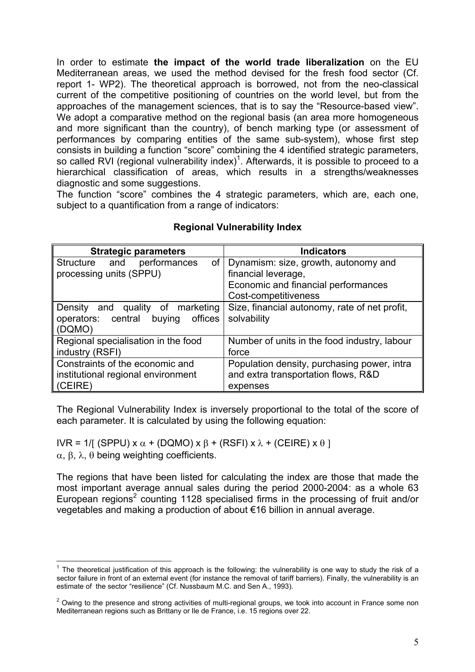In order to estimate **the impact of the world trade liberalization** on the EU Mediterranean areas, we used the method devised for the fresh food sector (Cf. report 1- WP2). The theoretical approach is borrowed, not from the neo-classical current of the competitive positioning of countries on the world level, but from the approaches of the management sciences, that is to say the "Resource-based view". We adopt a comparative method on the regional basis (an area more homogeneous and more significant than the country), of bench marking type (or assessment of performances by comparing entities of the same sub-system), whose first step consists in building a function "score" combining the 4 identified strategic parameters, so called RVI (regional vulnerability index)<sup>1</sup>. Afterwards, it is possible to proceed to a hierarchical classification of areas, which results in a strengths/weaknesses diagnostic and some suggestions.

The function "score" combines the 4 strategic parameters, which are, each one, subject to a quantification from a range of indicators:

| <b>Strategic parameters</b>             | <b>Indicators</b>                             |  |  |
|-----------------------------------------|-----------------------------------------------|--|--|
| and<br>performances<br>Structure        | of   Dynamism: size, growth, autonomy and     |  |  |
| processing units (SPPU)                 | financial leverage,                           |  |  |
|                                         | Economic and financial performances           |  |  |
|                                         | Cost-competitiveness                          |  |  |
| Density and quality of marketing        | Size, financial autonomy, rate of net profit, |  |  |
| operators: central<br>offices<br>buying | solvability                                   |  |  |
| (DQMO)                                  |                                               |  |  |
| Regional specialisation in the food     | Number of units in the food industry, labour  |  |  |
| industry (RSFI)                         | force                                         |  |  |
| Constraints of the economic and         | Population density, purchasing power, intra   |  |  |
| institutional regional environment      | and extra transportation flows, R&D           |  |  |
| (CEIRE)                                 | expenses                                      |  |  |

### **Regional Vulnerability Index**

The Regional Vulnerability Index is inversely proportional to the total of the score of each parameter. It is calculated by using the following equation:

IVR = 1/[ (SPPU) x α + (DQMO) x β + (RSFI) x λ + (CEIRE) x θ ] α, β, λ, θ being weighting coefficients.

The regions that have been listed for calculating the index are those that made the most important average annual sales during the period 2000-2004: as a whole 63 European regions<sup>2</sup> counting 1128 specialised firms in the processing of fruit and/or vegetables and making a production of about €16 billion in annual average.

 $\overline{a}$ 1 The theoretical justification of this approach is the following: the vulnerability is one way to study the risk of a sector failure in front of an external event (for instance the removal of tariff barriers). Finally, the vulnerability is an estimate of the sector "resilience" (Cf. Nussbaum M.C. and Sen A., 1993).

 $2$  Owing to the presence and strong activities of multi-regional groups, we took into account in France some non Mediterranean regions such as Brittany or Ile de France, i.e. 15 regions over 22.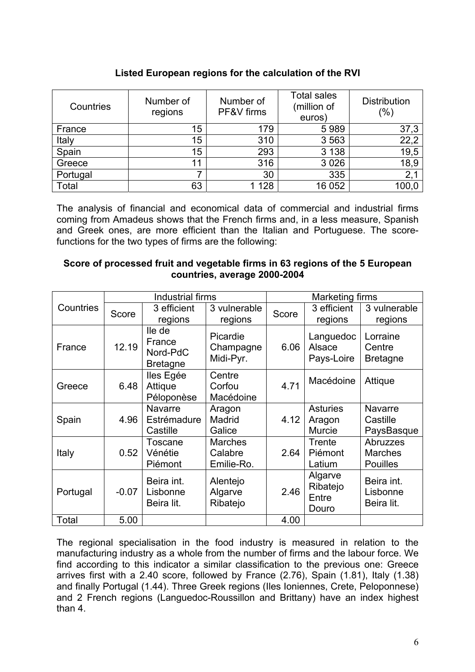| Listed European regions for the calculation of the RVI |  |  |  |  |  |
|--------------------------------------------------------|--|--|--|--|--|
|--------------------------------------------------------|--|--|--|--|--|

| Countries | Number of<br>regions | Number of<br>PF&V firms | <b>Total sales</b><br>(million of<br>euros) | <b>Distribution</b><br>$(\%)$ |
|-----------|----------------------|-------------------------|---------------------------------------------|-------------------------------|
| France    | 15                   | 179                     | 5989                                        | 37,3                          |
| Italy     | 15                   | 310                     | 3563                                        | 22,2                          |
| Spain     | 15                   | 293                     | 3 1 3 8                                     | 19,5                          |
| Greece    | 11                   | 316                     | 3 0 26                                      | 18,9                          |
| Portugal  |                      | 30                      | 335                                         | 2,1                           |
| Total     | 63                   | 128                     | 16 052                                      | 100,0                         |

The analysis of financial and economical data of commercial and industrial firms coming from Amadeus shows that the French firms and, in a less measure, Spanish and Greek ones, are more efficient than the Italian and Portuguese. The scorefunctions for the two types of firms are the following:

## **Score of processed fruit and vegetable firms in 63 regions of the 5 European countries, average 2000-2004**

|           | Industrial firms |                                                 |                                         | <b>Marketing firms</b> |                                            |                                               |
|-----------|------------------|-------------------------------------------------|-----------------------------------------|------------------------|--------------------------------------------|-----------------------------------------------|
| Countries | Score            | 3 efficient<br>regions                          | 3 vulnerable<br>regions                 | Score                  | 3 efficient<br>regions                     | 3 vulnerable<br>regions                       |
| France    | 12.19            | lle de<br>France<br>Nord-PdC<br><b>Bretagne</b> | Picardie<br>Champagne<br>Midi-Pyr.      | 6.06                   | Languedoc<br>Alsace<br>Pays-Loire          | Lorraine<br>Centre<br><b>Bretagne</b>         |
| Greece    | 6.48             | lles Egée<br>Attique<br>Péloponèse              | Centre<br>Corfou<br>Macédoine           | 4.71                   | Macédoine                                  | Attique                                       |
| Spain     | 4.96             | <b>Navarre</b><br>Estrémadure<br>Castille       | Aragon<br>Madrid<br>Galice              | 4.12                   | <b>Asturies</b><br>Aragon<br><b>Murcie</b> | <b>Navarre</b><br>Castille<br>PaysBasque      |
| Italy     | 0.52             | Toscane<br>Vénétie<br>Piémont                   | <b>Marches</b><br>Calabre<br>Emilie-Ro. | 2.64                   | Trente<br>Piémont<br>Latium                | Abruzzes<br><b>Marches</b><br><b>Pouilles</b> |
| Portugal  | $-0.07$          | Beira int.<br>Lisbonne<br>Beira lit.            | Alentejo<br>Algarve<br>Ribatejo         | 2.46                   | Algarve<br>Ribatejo<br>Entre<br>Douro      | Beira int.<br>Lisbonne<br>Beira lit.          |
| Total     | 5.00             |                                                 |                                         | 4.00                   |                                            |                                               |

The regional specialisation in the food industry is measured in relation to the manufacturing industry as a whole from the number of firms and the labour force. We find according to this indicator a similar classification to the previous one: Greece arrives first with a 2.40 score, followed by France (2.76), Spain (1.81), Italy (1.38) and finally Portugal (1.44). Three Greek regions (Iles Ioniennes, Crete, Peloponnese) and 2 French regions (Languedoc-Roussillon and Brittany) have an index highest than 4.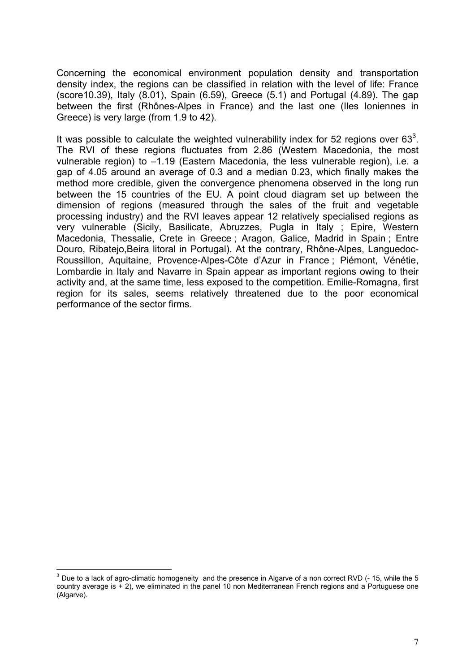Concerning the economical environment population density and transportation density index, the regions can be classified in relation with the level of life: France (score10.39), Italy (8.01), Spain (6.59), Greece (5.1) and Portugal (4.89). The gap between the first (Rhônes-Alpes in France) and the last one (Iles Ioniennes in Greece) is very large (from 1.9 to 42).

It was possible to calculate the weighted vulnerability index for 52 regions over 63<sup>3</sup>. The RVI of these regions fluctuates from 2.86 (Western Macedonia, the most vulnerable region) to -1.19 (Eastern Macedonia, the less vulnerable region), i.e. a gap of 4.05 around an average of 0.3 and a median 0.23, which finally makes the method more credible, given the convergence phenomena observed in the long run between the 15 countries of the EU. A point cloud diagram set up between the dimension of regions (measured through the sales of the fruit and vegetable processing industry) and the RVI leaves appear 12 relatively specialised regions as very vulnerable (Sicily, Basilicate, Abruzzes, Pugla in Italy ; Epire, Western Macedonia, Thessalie, Crete in Greece ; Aragon, Galice, Madrid in Spain ; Entre Douro, Ribatejo,Beira litoral in Portugal). At the contrary, Rhône-Alpes, Languedoc-Roussillon, Aquitaine, Provence-Alpes-Côte d'Azur in France ; Piémont, Vénétie, Lombardie in Italy and Navarre in Spain appear as important regions owing to their activity and, at the same time, less exposed to the competition. Emilie-Romagna, first region for its sales, seems relatively threatened due to the poor economical performance of the sector firms.

<sup>&</sup>lt;u>2</u><br><sup>3</sup> Due to a lack of agro-climatic homogeneity and the presence in Algarve of a non correct RVD (- 15, while the 5 country average is + 2), we eliminated in the panel 10 non Mediterranean French regions and a Portuguese one (Algarve).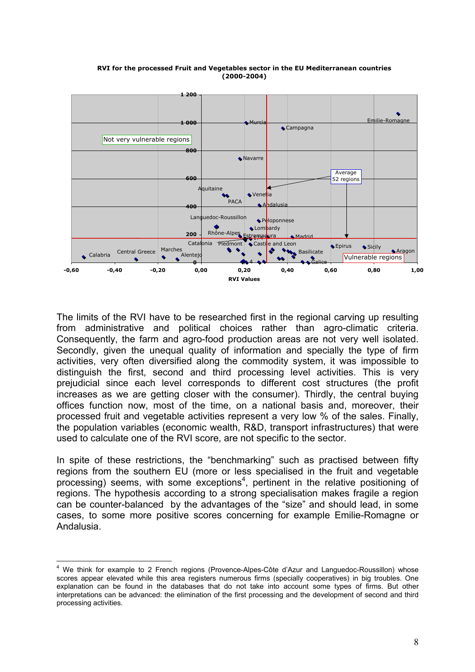

#### **RVI for the processed Fruit and Vegetables sector in the EU Mediterranean countries (2000-2004)**

The limits of the RVI have to be researched first in the regional carving up resulting from administrative and political choices rather than agro-climatic criteria. Consequently, the farm and agro-food production areas are not very well isolated. Secondly, given the unequal quality of information and specially the type of firm activities, very often diversified along the commodity system, it was impossible to distinguish the first, second and third processing level activities. This is very prejudicial since each level corresponds to different cost structures (the profit increases as we are getting closer with the consumer). Thirdly, the central buying offices function now, most of the time, on a national basis and, moreover, their processed fruit and vegetable activities represent a very low % of the sales. Finally, the population variables (economic wealth, R&D, transport infrastructures) that were used to calculate one of the RVI score, are not specific to the sector.

In spite of these restrictions, the "benchmarking" such as practised between fifty regions from the southern EU (more or less specialised in the fruit and vegetable processing) seems, with some exceptions<sup>4</sup>, pertinent in the relative positioning of regions. The hypothesis according to a strong specialisation makes fragile a region can be counter-balanced by the advantages of the "size" and should lead, in some cases, to some more positive scores concerning for example Emilie-Romagne or Andalusia.

 $\overline{a}$ 4 We think for example to 2 French regions (Provence-Alpes-Côte d'Azur and Languedoc-Roussillon) whose scores appear elevated while this area registers numerous firms (specially cooperatives) in big troubles. One explanation can be found in the databases that do not take into account some types of firms. But other interpretations can be advanced: the elimination of the first processing and the development of second and third processing activities.